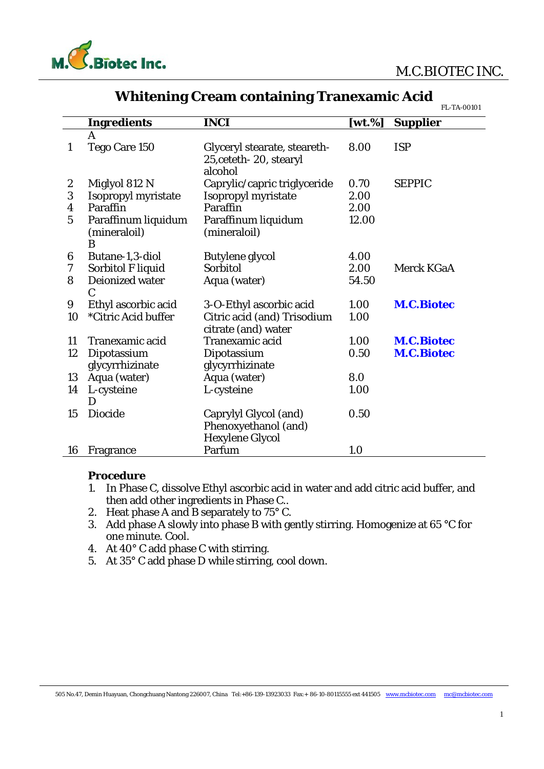



|                |                          |                              |            | FL-TA-00101       |
|----------------|--------------------------|------------------------------|------------|-------------------|
|                | <b>Ingredients</b>       | <b>INCI</b>                  | $[wt. \%]$ | <b>Supplier</b>   |
|                | A                        |                              |            |                   |
| $\mathbf{1}$   | Tego Care 150            | Glyceryl stearate, steareth- | 8.00       | <b>ISP</b>        |
|                |                          | 25, ceteth - 20, stearyl     |            |                   |
|                |                          | alcohol                      |            |                   |
| 2              | Miglyol 812 N            | Caprylic/capric triglyceride | 0.70       | <b>SEPPIC</b>     |
| 3              | Isopropyl myristate      | Isopropyl myristate          | 2.00       |                   |
| 4              | Paraffin                 | Paraffin                     | 2.00       |                   |
| $\overline{5}$ | Paraffinum liquidum      | Paraffinum liquidum          | 12.00      |                   |
|                | (mineraloil)             | (mineraloil)                 |            |                   |
|                | B                        |                              |            |                   |
| 6              | Butane-1,3-diol          | Butylene glycol              | 4.00       |                   |
| 7              | <b>Sorbitol F liquid</b> | Sorbitol                     | 2.00       | Merck KGaA        |
| 8              | Deionized water          | Aqua (water)                 | 54.50      |                   |
|                | $\mathbf C$              |                              |            |                   |
| 9              | Ethyl ascorbic acid      | 3-O-Ethyl ascorbic acid      | 1.00       | <b>M.C.Biotec</b> |
| 10             | *Citric Acid buffer      | Citric acid (and) Trisodium  | 1.00       |                   |
|                |                          | citrate (and) water          |            |                   |
| 11             | Tranexamic acid          | Tranexamic acid              | 1.00       | <b>M.C.Biotec</b> |
| 12             | Dipotassium              | Dipotassium                  | 0.50       | <b>M.C.Biotec</b> |
|                | glycyrrhizinate          | glycyrrhizinate              |            |                   |
| 13             | Aqua (water)             | Aqua (water)                 | 8.0        |                   |
| 14             | L-cysteine               | L-cysteine                   | 1.00       |                   |
|                |                          |                              |            |                   |
| 15             | <b>Diocide</b>           | Caprylyl Glycol (and)        | 0.50       |                   |
|                |                          | Phenoxyethanol (and)         |            |                   |
|                |                          | <b>Hexylene Glycol</b>       |            |                   |
| 16             | Fragrance                | Parfum                       | 1.0        |                   |

## **Whitening Cream containing Tranexamic Acid**

**Procedure** 

- 1. In Phase C, dissolve Ethyl ascorbic acid in water and add citric acid buffer, and then add other ingredients in Phase C..
- 2. Heat phase A and B separately to 75° C.
- 3. Add phase A slowly into phase B with gently stirring. Homogenize at 65 °C for one minute. Cool.
- 4. At 40° C add phase C with stirring.
- 5. At 35° C add phase D while stirring, cool down.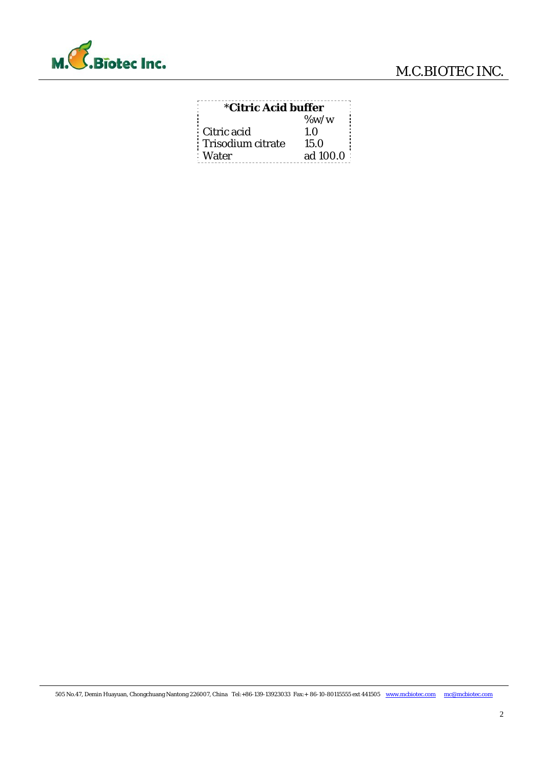

| <i><b>*Citric Acid buffer</b></i> |          |  |  |
|-----------------------------------|----------|--|--|
|                                   | $\%$ w/w |  |  |
| Citric acid                       | 1.0      |  |  |
| Trisodium citrate                 | 15.0     |  |  |
| : Water                           | ad 100.0 |  |  |
|                                   |          |  |  |